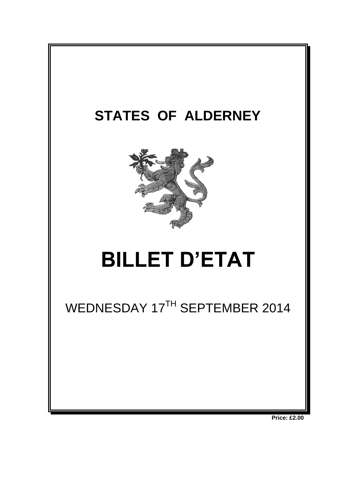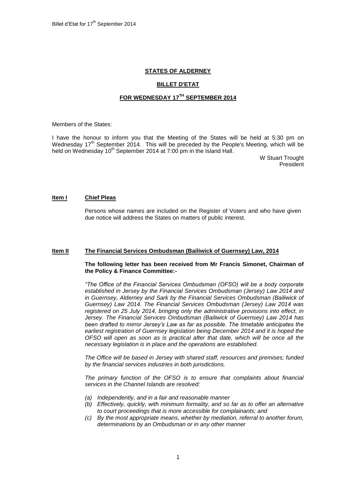## **STATES OF ALDERNEY**

## **BILLET D'ETAT**

# **FOR WEDNESDAY 17 TH SEPTEMBER 2014**

Members of the States:

I have the honour to inform you that the Meeting of the States will be held at 5:30 pm on Wednesday 17<sup>th</sup> September 2014. This will be preceded by the People's Meeting, which will be held on Wednesday 10<sup>th</sup> September 2014 at 7:00 pm in the Island Hall.

> W Stuart Trought President

#### **Item I Chief Pleas**

Persons whose names are included on the Register of Voters and who have given due notice will address the States on matters of public interest.

#### **Item II The Financial Services Ombudsman (Bailiwick of Guernsey) Law, 2014**

#### **The following letter has been received from Mr Francis Simonet, Chairman of the Policy & Finance Committee:-**

*"The Office of the Financial Services Ombudsman (OFSO) will be a body corporate established in Jersey by the Financial Services Ombudsman (Jersey) Law 2014 and in Guernsey, Alderney and Sark by the Financial Services Ombudsman (Bailiwick of Guernsey) Law 2014. The Financial Services Ombudsman (Jersey) Law 2014 was registered on 25 July 2014, bringing only the administrative provisions into effect, in Jersey. The Financial Services Ombudsman (Bailiwick of Guernsey) Law 2014 has been drafted to mirror Jersey's Law as far as possible. The timetable anticipates the*  earliest registration of Guernsey legislation being December 2014 and it is hoped the *OFSO will open as soon as is practical after that date, which will be once all the necessary legislation is in place and the operations are established.*

*The Office will be based in Jersey with shared staff, resources and premises; funded by the financial services industries in both jurisdictions.* 

*The primary function of the OFSO is to ensure that complaints about financial services in the Channel Islands are resolved:*

- *(a) Independently, and in a fair and reasonable manner*
- *(b) Effectively, quickly, with minimum formality, and so far as to offer an alternative to court proceedings that is more accessible for complainants; and*
- *(c) By the most appropriate means, whether by mediation, referral to another forum, determinations by an Ombudsman or in any other manner*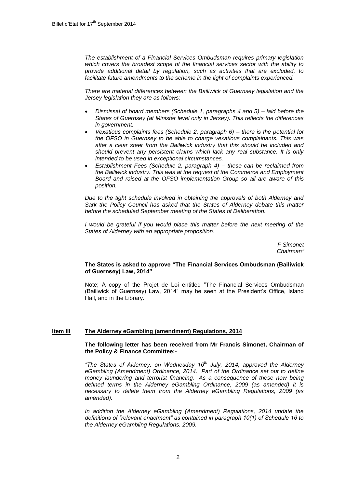*The establishment of a Financial Services Ombudsman requires primary legislation which covers the broadest scope of the financial services sector with the ability to provide additional detail by regulation, such as activities that are excluded, to facilitate future amendments to the scheme in the light of complaints experienced.* 

*There are material differences between the Bailiwick of Guernsey legislation and the Jersey legislation they are as follows:*

- *Dismissal of board members (Schedule 1, paragraphs 4 and 5) – laid before the States of Guernsey (at Minister level only in Jersey). This reflects the differences in government.*
- *Vexatious complaints fees (Schedule 2, paragraph 6) – there is the potential for the OFSO in Guernsey to be able to charge vexatious complainants. This was after a clear steer from the Bailiwick industry that this should be included and should prevent any persistent claims which lack any real substance. It is only intended to be used in exceptional circumstances.*
- *Establishment Fees (Schedule 2, paragraph 4) – these can be reclaimed from the Bailiwick industry. This was at the request of the Commerce and Employment Board and raised at the OFSO implementation Group so all are aware of this position.*

*Due to the tight schedule involved in obtaining the approvals of both Alderney and Sark the Policy Council has asked that the States of Alderney debate this matter before the scheduled September meeting of the States of Deliberation.*

*I would be grateful if you would place this matter before the next meeting of the States of Alderney with an appropriate proposition.*

> *F Simonet Chairman"*

#### **The States is asked to approve "The Financial Services Ombudsman (Bailiwick of Guernsey) Law, 2014"**

Note; A copy of the Projet de Loi entitled "The Financial Services Ombudsman (Bailiwick of Guernsey) Law, 2014" may be seen at the President's Office, Island Hall, and in the Library.

### **Item III The Alderney eGambling (amendment) Regulations, 2014**

#### **The following letter has been received from Mr Francis Simonet, Chairman of the Policy & Finance Committee:-**

*"The States of Alderney, on Wednesday 16th July, 2014, approved the Alderney eGambling (Amendment) Ordinance, 2014. Part of the Ordinance set out to define money laundering and terrorist financing. As a consequence of these now being defined terms in the Alderney eGambling Ordinance, 2009 (as amended) it is necessary to delete them from the Alderney eGambling Regulations, 2009 (as amended).*

In addition the Alderney eGambling (Amendment) Regulations, 2014 update the *definitions of "relevant enactment" as contained in paragraph 10(1) of Schedule 16 to the Alderney eGambling Regulations. 2009.*